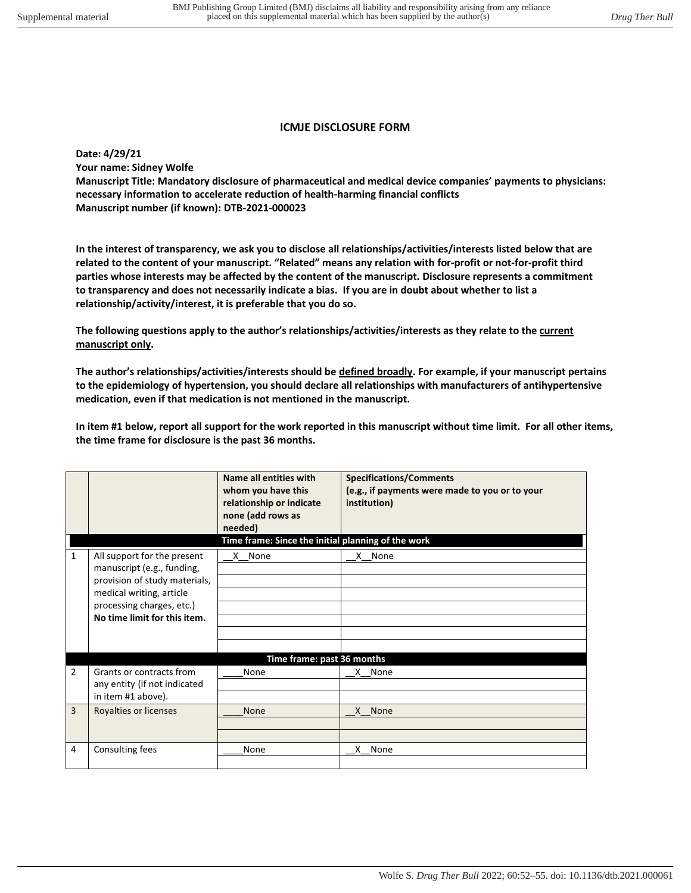## **ICMJE DISCLOSURE FORM**

**Date: 4/29/21 Your name: Sidney Wolfe Manuscript Title: Mandatory disclosure of pharmaceutical and medical device companies' payments to physicians: necessary information to accelerate reduction of health-harming financial conflicts Manuscript number (if known): DTB-2021-000023** 

**In the interest of transparency, we ask you to disclose all relationships/activities/interests listed below that are related to the content of your manuscript. "Related" means any relation with for-profit or not-for-profit third parties whose interests may be affected by the content of the manuscript. Disclosure represents a commitment to transparency and does not necessarily indicate a bias. If you are in doubt about whether to list a relationship/activity/interest, it is preferable that you do so.** 

**The following questions apply to the author's relationships/activities/interests as they relate to the current manuscript only.** 

**The author's relationships/activities/interests should be defined broadly. For example, if your manuscript pertains to the epidemiology of hypertension, you should declare all relationships with manufacturers of antihypertensive medication, even if that medication is not mentioned in the manuscript.** 

**In item #1 below, report all support for the work reported in this manuscript without time limit. For all other items, the time frame for disclosure is the past 36 months.** 

|                |                                                           | Name all entities with<br>whom you have this<br>relationship or indicate<br>none (add rows as<br>needed) | <b>Specifications/Comments</b><br>(e.g., if payments were made to you or to your<br>institution) |  |  |
|----------------|-----------------------------------------------------------|----------------------------------------------------------------------------------------------------------|--------------------------------------------------------------------------------------------------|--|--|
|                | Time frame: Since the initial planning of the work        |                                                                                                          |                                                                                                  |  |  |
| $\mathbf{1}$   | All support for the present                               | X None                                                                                                   | X None                                                                                           |  |  |
|                | manuscript (e.g., funding,                                |                                                                                                          |                                                                                                  |  |  |
|                | provision of study materials,                             |                                                                                                          |                                                                                                  |  |  |
|                | medical writing, article                                  |                                                                                                          |                                                                                                  |  |  |
|                | processing charges, etc.)<br>No time limit for this item. |                                                                                                          |                                                                                                  |  |  |
|                |                                                           |                                                                                                          |                                                                                                  |  |  |
|                |                                                           |                                                                                                          |                                                                                                  |  |  |
|                |                                                           |                                                                                                          |                                                                                                  |  |  |
|                | Time frame: past 36 months                                |                                                                                                          |                                                                                                  |  |  |
| $\overline{2}$ | Grants or contracts from                                  | None                                                                                                     | X None                                                                                           |  |  |
|                | any entity (if not indicated                              |                                                                                                          |                                                                                                  |  |  |
|                | in item #1 above).                                        |                                                                                                          |                                                                                                  |  |  |
| $\overline{3}$ | Royalties or licenses                                     | <b>None</b>                                                                                              | X None                                                                                           |  |  |
|                |                                                           |                                                                                                          |                                                                                                  |  |  |
|                |                                                           |                                                                                                          |                                                                                                  |  |  |
| 4              | Consulting fees                                           | None                                                                                                     | None<br>X.                                                                                       |  |  |
|                |                                                           |                                                                                                          |                                                                                                  |  |  |